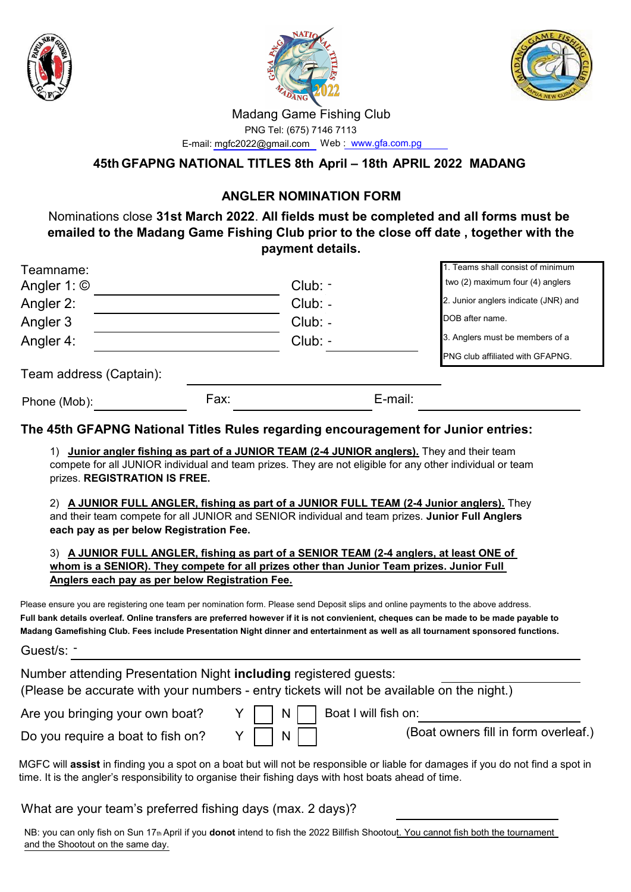





### Madang Game Fishing Club

 PNG Tel: (675) 7146 7113 E-mail: mgfc2022@gmail.com Web : www.gfa.com.pg

**45th GFAPNG NATIONAL TITLES 8th April – 18th APRIL 2022 MADANG**

## **ANGLER NOMINATION FORM**

 Nominations close **31st March 2022**. **All fields must be completed and all forms must be emailed to the Madang Game Fishing Club prior to the close off date , together with the payment details.**

| Teamname:               |      |           |         | 1. Teams shall consist of minimum       |
|-------------------------|------|-----------|---------|-----------------------------------------|
| Angler 1: $\odot$       |      | $Club: -$ |         | two (2) maximum four (4) anglers        |
| Angler 2:               |      | $Club: -$ |         | 2. Junior anglers indicate (JNR) and    |
| Angler 3                |      | $Club: -$ |         | DOB after name.                         |
| Angler 4:               |      | $Club: -$ |         | 3. Anglers must be members of a         |
|                         |      |           |         | <b>PNG club affiliated with GFAPNG.</b> |
| Team address (Captain): |      |           |         |                                         |
| Phone (Mob):            | Fax: |           | E-mail: |                                         |
|                         |      |           |         |                                         |

### **The 45th GFAPNG National Titles Rules regarding encouragement for Junior entries:**

1) **Junior angler fishing as part of a JUNIOR TEAM (2-4 JUNIOR anglers).** They and their team compete for all JUNIOR individual and team prizes. They are not eligible for any other individual or team prizes. **REGISTRATION IS FREE.**

2) **A JUNIOR FULL ANGLER, fishing as part of a JUNIOR FULL TEAM (2-4 Junior anglers).** They and their team compete for all JUNIOR and SENIOR individual and team prizes. **Junior Full Anglers each pay as per below Registration Fee.**

3) **A JUNIOR FULL ANGLER, fishing as part of a SENIOR TEAM (2-4 anglers, at least ONE of whom is a SENIOR). They compete for all prizes other than Junior Team prizes. Junior Full Anglers each pay as per below Registration Fee.**

Please ensure you are registering one team per nomination form. Please send Deposit slips and online payments to the above address. **Full bank details overleaf. Online transfers are preferred however if it is not convienient, cheques can be made to be made payable to Madang Gamefishing Club. Fees include Presentation Night dinner and entertainment as well as all tournament sponsored functions.**

Guest/s: -

Number attending Presentation Night **including** registered guests:

(Please be accurate with your numbers - entry tickets will not be available on the night.)

Are you bringing your own boat?  $Y \mid N \mid$  Boat I will fish on:

Do you require a boat to fish on?  $Y \mid N$ 

(Boat owners fill in form overleaf.)

MGFC will **assist** in finding you a spot on a boat but will not be responsible or liable for damages if you do not find a spot in time. It is the angler's responsibility to organise their fishing days with host boats ahead of time.

What are your team's preferred fishing days (max. 2 days)?

NB: you can only fish on Sun 17th April if you **donot** intend to fish the 2022 Billfish Shootout. You cannot fish both the tournament and the Shootout on the same day.